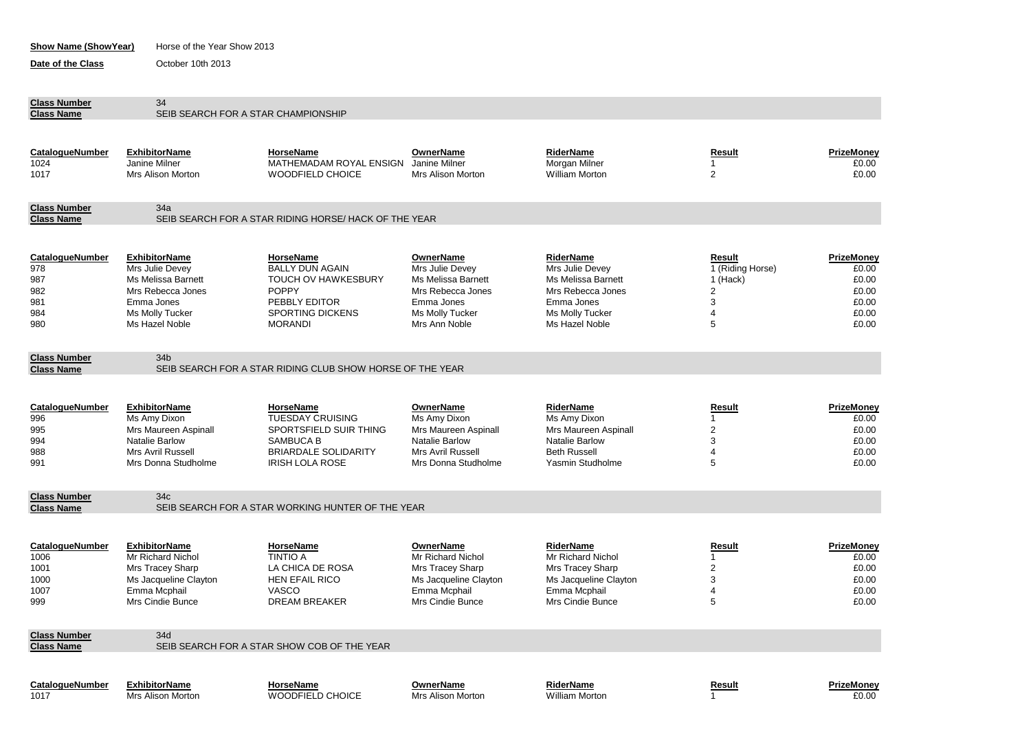| <b>Show Name (ShowYear)</b>                               |                                                                                                                                          | Horse of the Year Show 2013                                                                                                                     |                                                                                                                                  |                                                                                                                                          |                                                            |                                                                  |  |  |
|-----------------------------------------------------------|------------------------------------------------------------------------------------------------------------------------------------------|-------------------------------------------------------------------------------------------------------------------------------------------------|----------------------------------------------------------------------------------------------------------------------------------|------------------------------------------------------------------------------------------------------------------------------------------|------------------------------------------------------------|------------------------------------------------------------------|--|--|
| Date of the Class                                         | October 10th 2013                                                                                                                        |                                                                                                                                                 |                                                                                                                                  |                                                                                                                                          |                                                            |                                                                  |  |  |
| <b>Class Number</b><br><b>Class Name</b>                  | 34                                                                                                                                       | SEIB SEARCH FOR A STAR CHAMPIONSHIP                                                                                                             |                                                                                                                                  |                                                                                                                                          |                                                            |                                                                  |  |  |
|                                                           |                                                                                                                                          |                                                                                                                                                 |                                                                                                                                  |                                                                                                                                          |                                                            |                                                                  |  |  |
| CatalogueNumber<br>1024<br>1017                           | <b>ExhibitorName</b><br>Janine Milner<br><b>Mrs Alison Morton</b>                                                                        | HorseName<br>MATHEMADAM ROYAL ENSIGN<br><b>WOODFIELD CHOICE</b>                                                                                 | <b>OwnerName</b><br>Janine Milner<br>Mrs Alison Morton                                                                           | RiderName<br>Morgan Milner<br><b>William Morton</b>                                                                                      | Result<br>1<br>$\overline{2}$                              | PrizeMoney<br>£0.00<br>£0.00                                     |  |  |
| <b>Class Number</b>                                       | 34a                                                                                                                                      |                                                                                                                                                 |                                                                                                                                  |                                                                                                                                          |                                                            |                                                                  |  |  |
| <b>Class Name</b>                                         |                                                                                                                                          | SEIB SEARCH FOR A STAR RIDING HORSE/ HACK OF THE YEAR                                                                                           |                                                                                                                                  |                                                                                                                                          |                                                            |                                                                  |  |  |
| CatalogueNumber<br>978<br>987<br>982<br>981<br>984<br>980 | <b>ExhibitorName</b><br>Mrs Julie Devey<br>Ms Melissa Barnett<br>Mrs Rebecca Jones<br>Emma Jones<br>Ms Molly Tucker<br>Ms Hazel Noble    | HorseName<br><b>BALLY DUN AGAIN</b><br><b>TOUCH OV HAWKESBURY</b><br><b>POPPY</b><br>PEBBLY EDITOR<br><b>SPORTING DICKENS</b><br><b>MORANDI</b> | OwnerName<br>Mrs Julie Devey<br>Ms Melissa Barnett<br>Mrs Rebecca Jones<br>Emma Jones<br><b>Ms Molly Tucker</b><br>Mrs Ann Noble | <b>RiderName</b><br>Mrs Julie Devey<br><b>Ms Melissa Barnett</b><br>Mrs Rebecca Jones<br>Emma Jones<br>Ms Molly Tucker<br>Ms Hazel Noble | Result<br>1 (Riding Horse)<br>1 (Hack)<br>2<br>3<br>4<br>5 | PrizeMoney<br>£0.00<br>£0.00<br>£0.00<br>£0.00<br>£0.00<br>£0.00 |  |  |
| <b>Class Number</b>                                       | 34 <sub>b</sub>                                                                                                                          |                                                                                                                                                 |                                                                                                                                  |                                                                                                                                          |                                                            |                                                                  |  |  |
| <b>Class Name</b>                                         |                                                                                                                                          | SEIB SEARCH FOR A STAR RIDING CLUB SHOW HORSE OF THE YEAR                                                                                       |                                                                                                                                  |                                                                                                                                          |                                                            |                                                                  |  |  |
| CatalogueNumber<br>996<br>995<br>994<br>988<br>991        | <b>ExhibitorName</b><br>Ms Amy Dixon<br>Mrs Maureen Aspinall<br><b>Natalie Barlow</b><br><b>Mrs Avril Russell</b><br>Mrs Donna Studholme | HorseName<br><b>TUESDAY CRUISING</b><br>SPORTSFIELD SUIR THING<br>SAMBUCA B<br><b>BRIARDALE SOLIDARITY</b><br><b>IRISH LOLA ROSE</b>            | OwnerName<br>Ms Amy Dixon<br>Mrs Maureen Aspinall<br>Natalie Barlow<br>Mrs Avril Russell<br>Mrs Donna Studholme                  | <b>RiderName</b><br>Ms Amy Dixon<br>Mrs Maureen Aspinall<br>Natalie Barlow<br><b>Beth Russell</b><br>Yasmin Studholme                    | Result<br>1<br>2<br>3<br>$\overline{4}$<br>5               | PrizeMoney<br>£0.00<br>£0.00<br>£0.00<br>£0.00<br>£0.00          |  |  |
| <b>Class Number</b>                                       | 34 <sub>c</sub>                                                                                                                          |                                                                                                                                                 |                                                                                                                                  |                                                                                                                                          |                                                            |                                                                  |  |  |
| <b>Class Name</b>                                         |                                                                                                                                          | SEIB SEARCH FOR A STAR WORKING HUNTER OF THE YEAR                                                                                               |                                                                                                                                  |                                                                                                                                          |                                                            |                                                                  |  |  |
| CatalogueNumber<br>1006<br>1001<br>1000<br>1007<br>999    | <b>ExhibitorName</b><br><b>Mr Richard Nichol</b><br>Mrs Tracey Sharp<br>Ms Jacqueline Clayton<br>Emma Mcphail<br>Mrs Cindie Bunce        | HorseName<br><b>TINTIO A</b><br>LA CHICA DE ROSA<br><b>HEN EFAIL RICO</b><br><b>VASCO</b><br><b>DREAM BREAKER</b>                               | <b>OwnerName</b><br>Mr Richard Nichol<br>Mrs Tracey Sharp<br>Ms Jacqueline Clayton<br>Emma Mcphail<br>Mrs Cindie Bunce           | <b>RiderName</b><br>Mr Richard Nichol<br>Mrs Tracey Sharp<br>Ms Jacqueline Clayton<br>Emma Mcphail<br>Mrs Cindie Bunce                   | <b>Result</b><br>1<br>2<br>3<br>4<br>5                     | PrizeMoney<br>£0.00<br>£0.00<br>£0.00<br>£0.00<br>£0.00          |  |  |
| <b>Class Number</b>                                       | 34d                                                                                                                                      |                                                                                                                                                 |                                                                                                                                  |                                                                                                                                          |                                                            |                                                                  |  |  |
| <b>Class Name</b>                                         |                                                                                                                                          | SEIB SEARCH FOR A STAR SHOW COB OF THE YEAR                                                                                                     |                                                                                                                                  |                                                                                                                                          |                                                            |                                                                  |  |  |
| <b>CatalogueNumber</b><br>1017                            | <b>ExhibitorName</b><br>Mrs Alison Morton                                                                                                | <b>HorseName</b><br>WOODFIELD CHOICE                                                                                                            | <b>OwnerName</b><br>Mrs Alison Morton                                                                                            | <b>RiderName</b><br>William Morton                                                                                                       | <b>Result</b><br>1                                         | PrizeMoney<br>£0.00                                              |  |  |